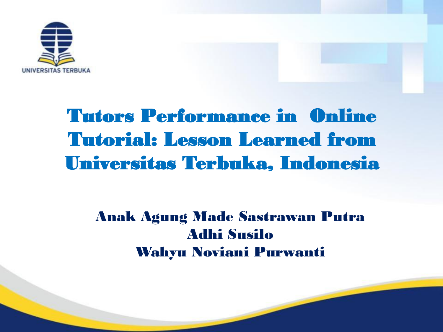

## Tutors Performance in Online Tutorial: Lesson Learned from Universitas Terbuka, Indonesia

#### Anak Agung Made Sastrawan Putra Adhi Susilo Wahyu Noviani Purwanti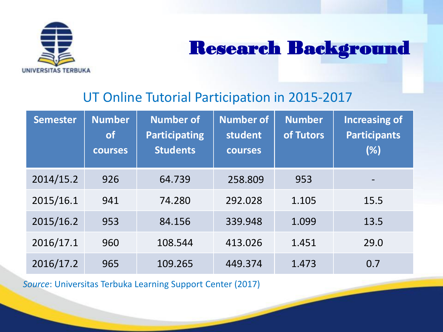

### Research Background

#### UT Online Tutorial Participation in 2015-2017

| <b>Semester</b> | <b>Number</b><br><b>of</b><br><b>courses</b> | <b>Number of</b><br><b>Participating</b><br><b>Students</b> | <b>Number of</b><br>student<br><b>courses</b> | <b>Number</b><br>of Tutors | <b>Increasing of</b><br><b>Participants</b><br>(%) |
|-----------------|----------------------------------------------|-------------------------------------------------------------|-----------------------------------------------|----------------------------|----------------------------------------------------|
| 2014/15.2       | 926                                          | 64.739                                                      | 258.809                                       | 953                        | $\overline{\phantom{0}}$                           |
| 2015/16.1       | 941                                          | 74.280                                                      | 292.028                                       | 1.105                      | 15.5                                               |
| 2015/16.2       | 953                                          | 84.156                                                      | 339.948                                       | 1.099                      | 13.5                                               |
| 2016/17.1       | 960                                          | 108.544                                                     | 413.026                                       | 1.451                      | 29.0                                               |
| 2016/17.2       | 965                                          | 109.265                                                     | 449.374                                       | 1.473                      | 0.7                                                |

*Source*: Universitas Terbuka Learning Support Center (2017)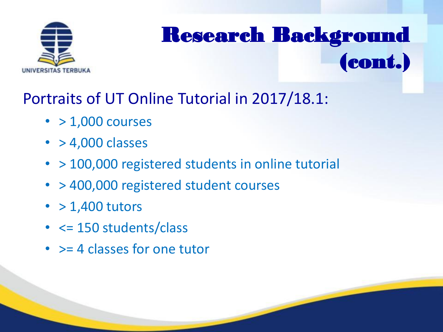

# Research Background (cont.)

### Portraits of UT Online Tutorial in 2017/18.1:

- $\cdot$  > 1,000 courses
- $\cdot$  > 4,000 classes
- > 100,000 registered students in online tutorial
- > 400,000 registered student courses
- $\cdot$  > 1,400 tutors
- < = 150 students/class
- > = 4 classes for one tutor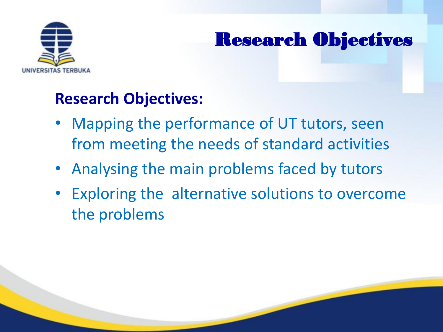

### Research Objectives

#### **Research Objectives:**

- Mapping the performance of UT tutors, seen from meeting the needs of standard activities
- Analysing the main problems faced by tutors
- Exploring the alternative solutions to overcome the problems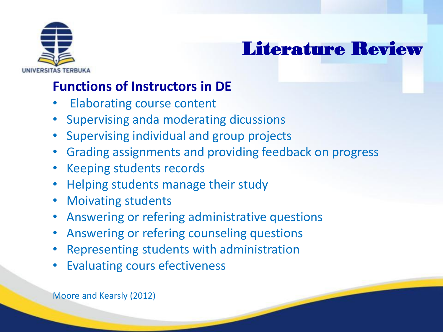

### Literature Review

#### **Functions of Instructors in DE**

- Elaborating course content
- Supervising anda moderating dicussions
- Supervising individual and group projects
- Grading assignments and providing feedback on progress
- Keeping students records
- Helping students manage their study
- Moivating students
- Answering or refering administrative questions
- Answering or refering counseling questions
- Representing students with administration
- **Evaluating cours efectiveness**

Moore and Kearsly (2012)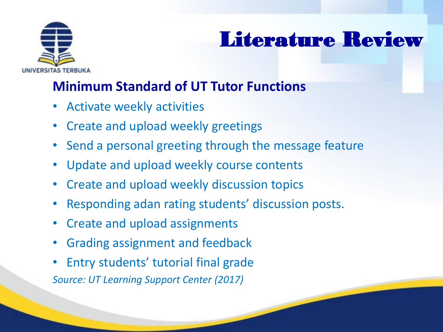

### Literature Review

#### **Minimum Standard of UT Tutor Functions**

- Activate weekly activities
- Create and upload weekly greetings
- Send a personal greeting through the message feature
- Update and upload weekly course contents
- Create and upload weekly discussion topics
- Responding adan rating students' discussion posts.
- Create and upload assignments
- Grading assignment and feedback
- Entry students' tutorial final grade *Source: UT Learning Support Center (2017)*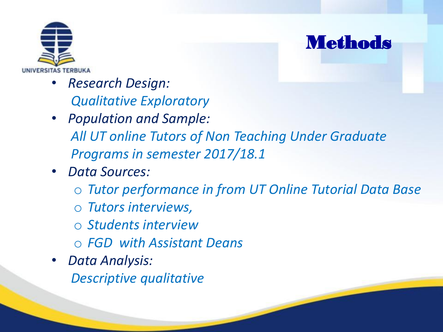

- *Research Design: Qualitative Exploratory*
- *Population and Sample: All UT online Tutors of Non Teaching Under Graduate Programs in semester 2017/18.1*
- *Data Sources:*
	- o *Tutor performance in from UT Online Tutorial Data Base*

**Methods** 

- o *Tutors interviews,*
- o *Students interview*
- o *FGD with Assistant Deans*
- *Data Analysis: Descriptive qualitative*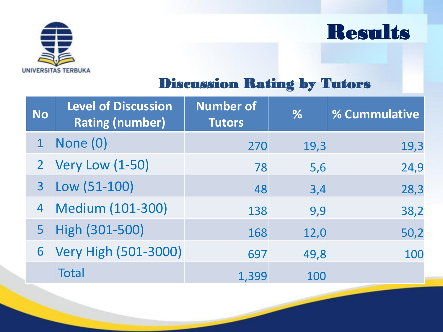



#### Discussion Rating by Tutors

| <b>No</b>      | <b>Level of Discussion</b><br><b>Rating (number)</b> | <b>Number of</b><br><b>Tutors</b> | %    | % Cummulative |
|----------------|------------------------------------------------------|-----------------------------------|------|---------------|
|                | None (0)                                             | 270                               | 19,3 | 19,3          |
|                | 2 Very Low (1-50)                                    | 78                                | 5,6  | 24,9          |
| 3 <sup>1</sup> | $Low (51-100)$                                       | 48                                | 3,4  | 28,3          |
|                | 4 Medium (101-300)                                   | 138                               | 9,9  | 38,2          |
|                | 5 High (301-500)                                     | 168                               | 12,0 | 50,2          |
|                | 6 Very High (501-3000)                               | 697                               | 49,8 | 100           |
|                | <b>Total</b>                                         | 1,399                             | 100  |               |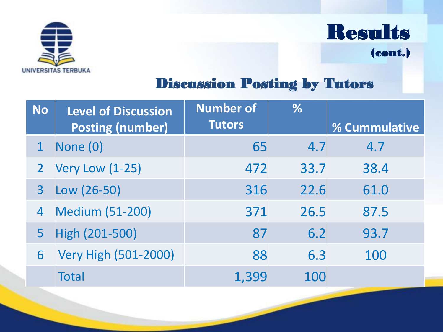

Results

(cont.)

#### Discussion Posting by Tutors

| <b>No</b>      | <b>Level of Discussion</b> | <b>Number of</b> | %    |                      |
|----------------|----------------------------|------------------|------|----------------------|
|                | <b>Posting (number)</b>    | <b>Tutors</b>    |      | <b>% Cummulative</b> |
| $\mathbf 1$    | None (0)                   | 65               | 4.7  | 4.7                  |
|                | 2 Very Low (1-25)          | 472              | 33.7 | 38.4                 |
| $\overline{3}$ | Low (26-50)                | 316              | 22.6 | 61.0                 |
| 4              | <b>Medium (51-200)</b>     | 371              | 26.5 | 87.5                 |
| 5              | High (201-500)             | 87               | 6.2  | 93.7                 |
| 6              | Very High (501-2000)       | 88               | 6.3  | 100                  |
|                | <b>Total</b>               | 1,399            | 100  |                      |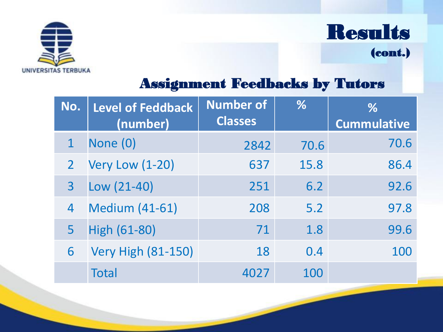



(cont.)

#### Assignment Feedbacks by Tutors

| No.            | <b>Level of Feddback</b><br>(number) | <b>Number of</b><br><b>Classes</b> | $\%$ | %<br><b>Cummulative</b> |
|----------------|--------------------------------------|------------------------------------|------|-------------------------|
|                | None (0)                             | 2842                               | 70.6 | 70.6                    |
| $\overline{2}$ | <b>Very Low (1-20)</b>               | 637                                | 15.8 | 86.4                    |
| 3              | $Low (21-40)$                        | 251                                | 6.2  | 92.6                    |
| 4              | <b>Medium (41-61)</b>                | 208                                | 5.2  | 97.8                    |
| 5              | <b>High (61-80)</b>                  | 71                                 | 1.8  | 99.6                    |
| 6              | <b>Very High (81-150)</b>            | 18                                 | 0.4  | 100                     |
|                | Total                                | 4027                               | 100  |                         |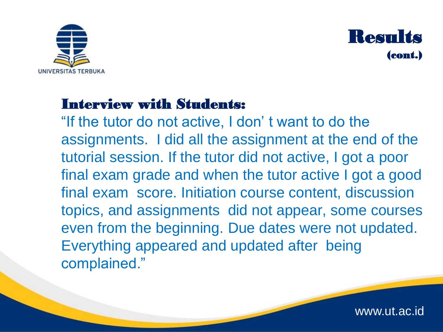



#### Interview with Students:

"If the tutor do not active, I don' t want to do the assignments. I did all the assignment at the end of the tutorial session. If the tutor did not active, I got a poor final exam grade and when the tutor active I got a good final exam score. Initiation course content, discussion topics, and assignments did not appear, some courses even from the beginning. Due dates were not updated. Everything appeared and updated after being complained."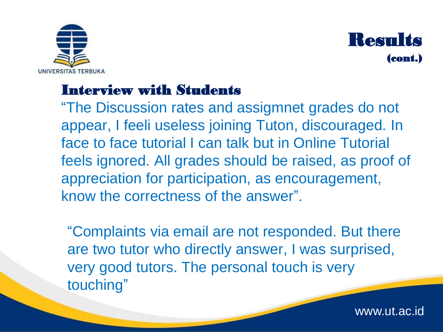



#### Interview with Students

"The Discussion rates and assigmnet grades do not appear, I feeli useless joining Tuton, discouraged. In face to face tutorial I can talk but in Online Tutorial feels ignored. All grades should be raised, as proof of appreciation for participation, as encouragement, know the correctness of the answer".

"Complaints via email are not responded. But there are two tutor who directly answer, I was surprised, very good tutors. The personal touch is very touching"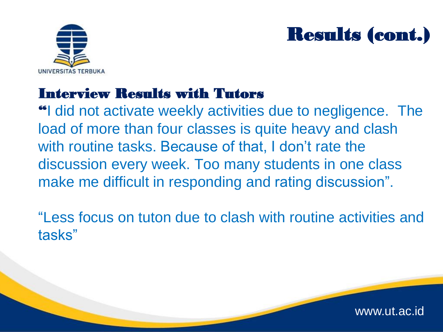

### Results (cont.)

#### Interview Results with Tutors

"I did not activate weekly activities due to negligence. The load of more than four classes is quite heavy and clash with routine tasks. Because of that, I don't rate the discussion every week. Too many students in one class make me difficult in responding and rating discussion".

"Less focus on tuton due to clash with routine activities and tasks"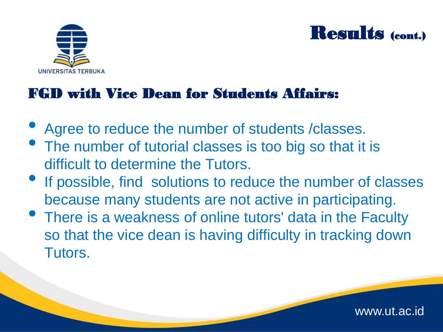



www.ut.ac.id

#### FGD with Vice Dean for Students Affairs:

- Agree to reduce the number of students /classes.
- The number of tutorial classes is too big so that it is difficult to determine the Tutors.
- **If possible, find solutions to reduce the number of classes** because many students are not active in participating.
- There is a weakness of online tutors' data in the Faculty so that the vice dean is having difficulty in tracking down Tutors.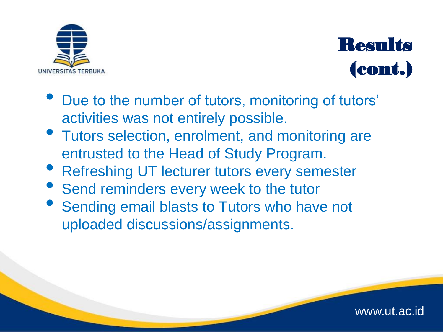



- Due to the number of tutors, monitoring of tutors' activities was not entirely possible.
- Tutors selection, enrolment, and monitoring are entrusted to the Head of Study Program.
- **Refreshing UT lecturer tutors every semester**
- Send reminders every week to the tutor
- Sending email blasts to Tutors who have not uploaded discussions/assignments.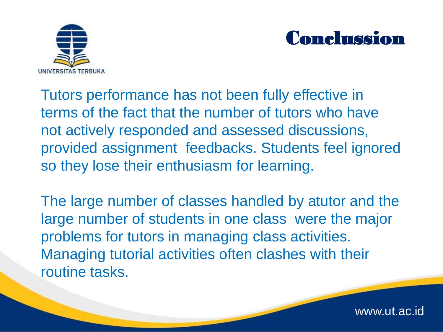



www.ut.ac.id

Tutors performance has not been fully effective in terms of the fact that the number of tutors who have not actively responded and assessed discussions, provided assignment feedbacks. Students feel ignored so they lose their enthusiasm for learning.

The large number of classes handled by atutor and the large number of students in one class were the major problems for tutors in managing class activities. Managing tutorial activities often clashes with their routine tasks.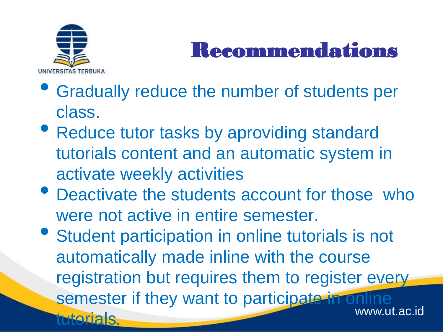

## Recommendations

- Gradually reduce the number of students per class.
- Reduce tutor tasks by aproviding standard tutorials content and an automatic system in activate weekly activities
- Deactivate the students account for those who were not active in entire semester.
- www.ut.ac.id • Student participation in online tutorials is not automatically made inline with the course registration but requires them to register every semester if they want to participate in online tutorials*.*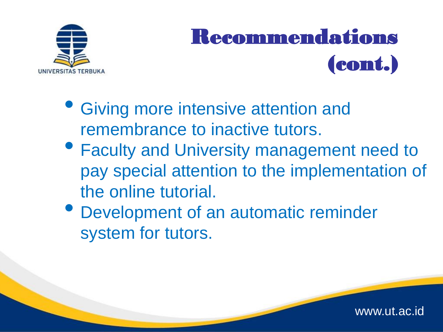

# Recommendations (cont.)

- Giving more intensive attention and remembrance to inactive tutors.
- Faculty and University management need to pay special attention to the implementation of the online tutorial.
- Development of an automatic reminder system for tutors.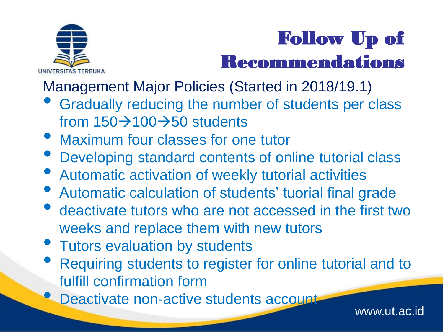

## Follow Up of Recommendations

Management Major Policies (Started in 2018/19.1)

- Gradually reducing the number of students per class from  $150\rightarrow100\rightarrow50$  students
- Maximum four classes for one tutor
- Developing standard contents of online tutorial class
- Automatic activation of weekly tutorial activities
- Automatic calculation of students' tuorial final grade
- deactivate tutors who are not accessed in the first two weeks and replace them with new tutors
- Tutors evaluation by students
- Requiring students to register for online tutorial and to fulfill confirmation form
- **Deactivate non-active students account**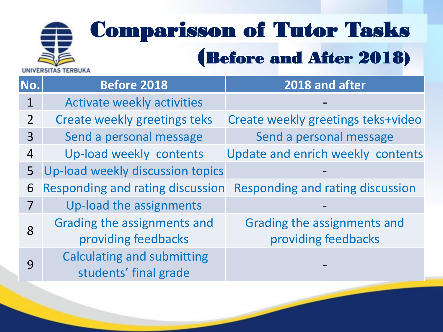# Comparisson of Tutor Tasks (Before and After 2018)

**No. Before 2018 2018 and after** 1 Activate weekly activities 2 Create weekly greetings teks Create weekly greetings teks+video 3 Send a personal message Send a personal message 4 Up-load weekly contents Update and enrich weekly contents 5 Up-load weekly discussion topics 6 Responding and rating discussion Responding and rating discussion 7 Up-load the assignments 8 Grading the assignments and providing feedbacks Grading the assignments and providing feedbacks 9 Calculating and submitting students' final grade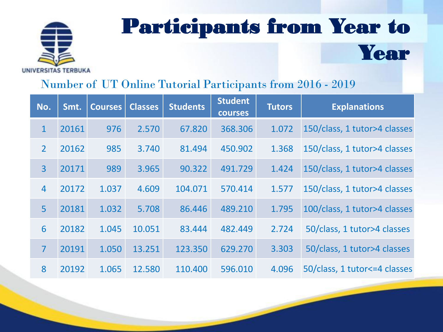

## Participants from Year to Year

#### Number of UT Online Tutorial Participants from 2016 - 2019

| No.            | Smt.  | <b>Courses</b> | <b>Classes</b> | <b>Students</b> | <b>Student</b><br><b>courses</b> | <b>Tutors</b> | <b>Explanations</b>            |
|----------------|-------|----------------|----------------|-----------------|----------------------------------|---------------|--------------------------------|
| $\mathbf{1}$   | 20161 | 976            | 2.570          | 67.820          | 368.306                          | 1.072         | 150/class, 1 tutor>4 classes   |
| $\overline{2}$ | 20162 | 985            | 3.740          | 81.494          | 450.902                          | 1.368         | 150/class, 1 tutor>4 classes   |
| $\overline{3}$ | 20171 | 989            | 3.965          | 90.322          | 491.729                          | 1.424         | 150/class, 1 tutor>4 classes   |
| $\overline{4}$ | 20172 | 1.037          | 4.609          | 104.071         | 570.414                          | 1.577         | 150/class, 1 tutor>4 classes   |
| 5              | 20181 | 1.032          | 5.708          | 86.446          | 489.210                          | 1.795         | 100/class, 1 tutor>4 classes   |
| 6              | 20182 | 1.045          | 10.051         | 83.444          | 482.449                          | 2.724         | 50/class, 1 tutor>4 classes    |
| $\overline{7}$ | 20191 | 1.050          | 13.251         | 123.350         | 629.270                          | 3.303         | 50/class, 1 tutor>4 classes    |
| 8              | 20192 | 1.065          | 12.580         | 110.400         | 596.010                          | 4.096         | 50/class, 1 tutor <= 4 classes |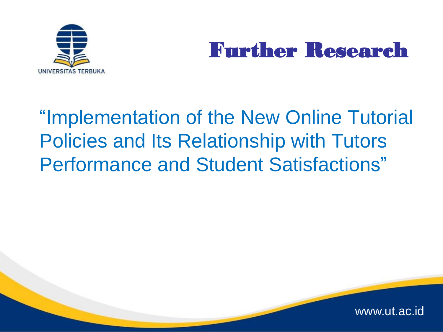

### Further Research

## "Implementation of the New Online Tutorial Policies and Its Relationship with Tutors Performance and Student Satisfactions"